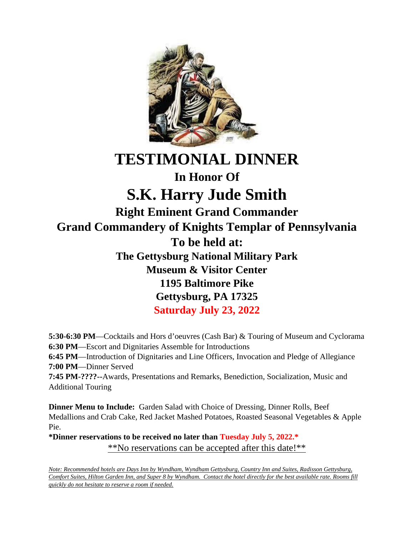

## **TESTIMONIAL DINNER In Honor Of**

## **S.K. Harry Jude Smith**

**Right Eminent Grand Commander Grand Commandery of Knights Templar of Pennsylvania To be held at: The Gettysburg National Military Park Museum & Visitor Center 1195 Baltimore Pike Gettysburg, PA 17325 Saturday July 23, 2022**

**5:30-6:30 PM**—Cocktails and Hors d'oeuvres (Cash Bar) & Touring of Museum and Cyclorama **6:30 PM**—Escort and Dignitaries Assemble for Introductions **6:45 PM**—Introduction of Dignitaries and Line Officers, Invocation and Pledge of Allegiance **7:00 PM**—Dinner Served **7:45 PM-????--**Awards, Presentations and Remarks, Benediction, Socialization, Music and Additional Touring

**Dinner Menu to Include:** Garden Salad with Choice of Dressing, Dinner Rolls, Beef Medallions and Crab Cake, Red Jacket Mashed Potatoes, Roasted Seasonal Vegetables & Apple Pie.

**\*Dinner reservations to be received no later than Tuesday July 5, 2022.\*** \*\*No reservations can be accepted after this date!\*\*

*Note: Recommended hotels are Days Inn by Wyndham, Wyndham Gettysburg, Country Inn and Suites, Radisson Gettysburg, Comfort Suites, Hilton Garden Inn, and Super 8 by Wyndham. Contact the hotel directly for the best available rate. Rooms fill quickly do not hesitate to reserve a room if needed.*